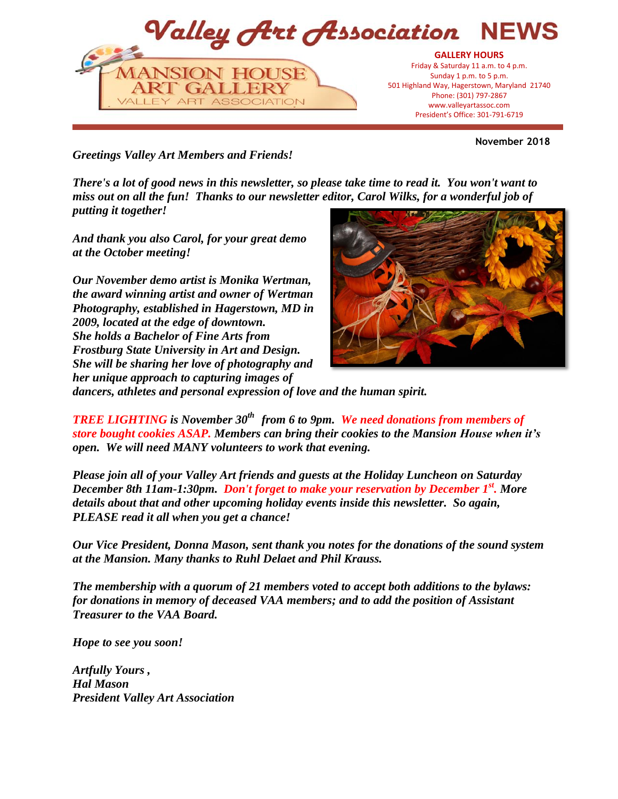

**November 2018**

*Greetings Valley Art Members and Friends!*

*There's a lot of good news in this newsletter, so please take time to read it. You won't want to miss out on all the fun! Thanks to our newsletter editor, Carol Wilks, for a wonderful job of putting it together!* 

*And thank you also Carol, for your great demo at the October meeting!*

*Our November demo artist is Monika Wertman, the award winning artist and owner of Wertman Photography, established in Hagerstown, MD in 2009, located at the edge of downtown. She holds a Bachelor of Fine Arts from Frostburg State University in Art and Design. She will be sharing her love of photography and her unique approach to capturing images of* 



*dancers, athletes and personal expression of love and the human spirit.* 

*TREE LIGHTING is November 30th from 6 to 9pm. We need donations from members of store bought cookies ASAP. Members can bring their cookies to the Mansion House when it's open. We will need MANY volunteers to work that evening.*

*Please join all of your Valley Art friends and guests at the Holiday Luncheon on Saturday December 8th 11am-1:30pm. Don't forget to make your reservation by December 1st . More details about that and other upcoming holiday events inside this newsletter. So again, PLEASE read it all when you get a chance!* 

*Our Vice President, Donna Mason, sent thank you notes for the donations of the sound system at the Mansion. Many thanks to Ruhl Delaet and Phil Krauss.*

*The membership with a quorum of 21 members voted to accept both additions to the bylaws: for donations in memory of deceased VAA members; and to add the position of Assistant Treasurer to the VAA Board.*

*Hope to see you soon!*

*Artfully Yours , Hal Mason President Valley Art Association*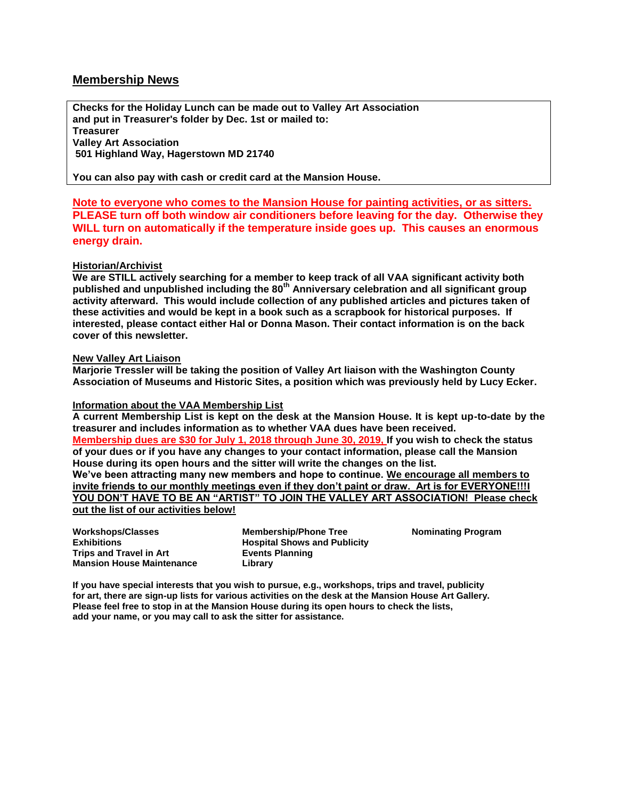### **Membership News**

**Checks for the Holiday Lunch can be made out to Valley Art Association and put in Treasurer's folder by Dec. 1st or mailed to: Treasurer Valley Art Association 501 Highland Way, Hagerstown MD 21740**

**You can also pay with cash or credit card at the Mansion House.**

**Note to everyone who comes to the Mansion House for painting activities, or as sitters. PLEASE turn off both window air conditioners before leaving for the day. Otherwise they WILL turn on automatically if the temperature inside goes up. This causes an enormous energy drain.**

#### **Historian/Archivist**

**We are STILL actively searching for a member to keep track of all VAA significant activity both published and unpublished including the 80th Anniversary celebration and all significant group activity afterward. This would include collection of any published articles and pictures taken of these activities and would be kept in a book such as a scrapbook for historical purposes. If interested, please contact either Hal or Donna Mason. Their contact information is on the back cover of this newsletter.**

#### **New Valley Art Liaison**

**Marjorie Tressler will be taking the position of Valley Art liaison with the Washington County Association of Museums and Historic Sites, a position which was previously held by Lucy Ecker.**

#### **Information about the VAA Membership List**

**A current Membership List is kept on the desk at the Mansion House. It is kept up-to-date by the treasurer and includes information as to whether VAA dues have been received. Membership dues are \$30 for July 1, 2018 through June 30, 2019, If you wish to check the status of your dues or if you have any changes to your contact information, please call the Mansion House during its open hours and the sitter will write the changes on the list. We've been attracting many new members and hope to continue. We encourage all members to invite friends to our monthly meetings even if they don't paint or draw. Art is for EVERYONE!!!! YOU DON'T HAVE TO BE AN "ARTIST" TO JOIN THE VALLEY ART ASSOCIATION! Please check out the list of our activities below!**

**Workshops/Classes Exhibitions Trips and Travel in Art Mansion House Maintenance**

**Membership/Phone Tree Hospital Shows and Publicity Events Planning Library**

**Nominating Program**

**If you have special interests that you wish to pursue, e.g., workshops, trips and travel, publicity for art, there are sign-up lists for various activities on the desk at the Mansion House Art Gallery. Please feel free to stop in at the Mansion House during its open hours to check the lists, add your name, or you may call to ask the sitter for assistance.**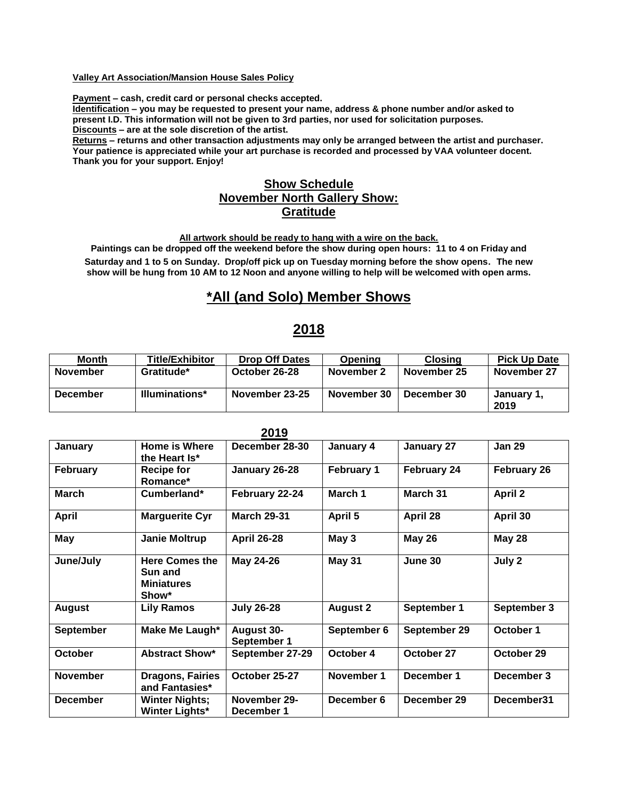#### **Valley Art Association/Mansion House Sales Policy**

**Payment – cash, credit card or personal checks accepted.**

**Identification – you may be requested to present your name, address & phone number and/or asked to present I.D. This information will not be given to 3rd parties, nor used for solicitation purposes. Discounts – are at the sole discretion of the artist.**

**Returns – returns and other transaction adjustments may only be arranged between the artist and purchaser. Your patience is appreciated while your art purchase is recorded and processed by VAA volunteer docent. Thank you for your support. Enjoy!**

# **Show Schedule November North Gallery Show: Gratitude**

**All artwork should be ready to hang with a wire on the back.**

**Paintings can be dropped off the weekend before the show during open hours: 11 to 4 on Friday and Saturday and 1 to 5 on Sunday. Drop/off pick up on Tuesday morning before the show opens. The new** 

**show will be hung from 10 AM to 12 Noon and anyone willing to help will be welcomed with open arms.**

# **\*All (and Solo) Member Shows**

# **2018**

| <b>Month</b>    | <b>Title/Exhibitor</b> | <b>Drop Off Dates</b> | Openina     | <b>Closing</b> | <b>Pick Up Date</b> |
|-----------------|------------------------|-----------------------|-------------|----------------|---------------------|
| November        | Gratitude*             | October 26-28         | November 2  | November 25    | November 27         |
| <b>December</b> | <b>Illuminations*</b>  | November 23-25        | November 30 | December 30    | January 1,<br>2019  |

| ZU19             |                                                                |                                  |                   |               |                |
|------------------|----------------------------------------------------------------|----------------------------------|-------------------|---------------|----------------|
| January          | Home is Where<br>the Heart Is*                                 | December 28-30                   | January 4         | January 27    | <b>Jan 29</b>  |
| <b>February</b>  | <b>Recipe for</b><br>Romance*                                  | January 26-28                    | <b>February 1</b> | February 24   | February 26    |
| <b>March</b>     | Cumberland*                                                    | February 22-24                   | March 1           | March 31      | <b>April 2</b> |
| <b>April</b>     | <b>Marguerite Cyr</b>                                          | <b>March 29-31</b>               | April 5           | April 28      | April 30       |
| May              | <b>Janie Moltrup</b>                                           | <b>April 26-28</b>               | May 3             | <b>May 26</b> | <b>May 28</b>  |
| June/July        | <b>Here Comes the</b><br>Sun and<br><b>Miniatures</b><br>Show* | May 24-26                        | <b>May 31</b>     | June 30       | July 2         |
| <b>August</b>    | <b>Lily Ramos</b>                                              | <b>July 26-28</b>                | <b>August 2</b>   | September 1   | September 3    |
| <b>September</b> | Make Me Laugh*                                                 | <b>August 30-</b><br>September 1 | September 6       | September 29  | October 1      |
| <b>October</b>   | <b>Abstract Show*</b>                                          | September 27-29                  | October 4         | October 27    | October 29     |
| <b>November</b>  | <b>Dragons, Fairies</b><br>and Fantasies*                      | October 25-27                    | November 1        | December 1    | December 3     |
| <b>December</b>  | <b>Winter Nights;</b><br><b>Winter Lights*</b>                 | November 29-<br>December 1       | December 6        | December 29   | December31     |

#### **2019**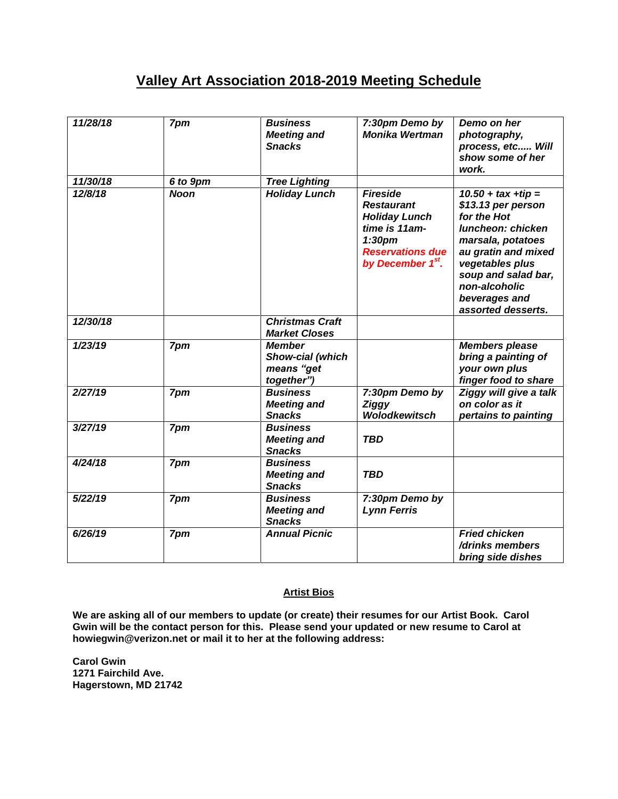# **Valley Art Association 2018-2019 Meeting Schedule**

| 11/28/18 | 7pm         | <b>Business</b><br><b>Meeting and</b><br><b>Snacks</b>        | 7:30pm Demo by<br><b>Monika Wertman</b>                                                                                                                         | Demo on her<br>photography,<br>process, etc Will<br>show some of her<br>work.                                                                                                                                                 |
|----------|-------------|---------------------------------------------------------------|-----------------------------------------------------------------------------------------------------------------------------------------------------------------|-------------------------------------------------------------------------------------------------------------------------------------------------------------------------------------------------------------------------------|
| 11/30/18 | 6 to 9pm    | <b>Tree Lighting</b>                                          |                                                                                                                                                                 |                                                                                                                                                                                                                               |
| 12/8/18  | <b>Noon</b> | <b>Holiday Lunch</b>                                          | <b>Fireside</b><br><b>Restaurant</b><br><b>Holiday Lunch</b><br>time is 11am-<br>1:30 <sub>pm</sub><br><b>Reservations due</b><br>by December 1 <sup>st</sup> . | $10.50 + tax + tip =$<br>\$13.13 per person<br>for the Hot<br>luncheon: chicken<br>marsala, potatoes<br>au gratin and mixed<br>vegetables plus<br>soup and salad bar,<br>non-alcoholic<br>beverages and<br>assorted desserts. |
| 12/30/18 |             | <b>Christmas Craft</b><br><b>Market Closes</b>                |                                                                                                                                                                 |                                                                                                                                                                                                                               |
| 1/23/19  | 7pm         | <b>Member</b><br>Show-cial (which<br>means "get<br>together") |                                                                                                                                                                 | <b>Members please</b><br>bring a painting of<br>your own plus<br>finger food to share                                                                                                                                         |
| 2/27/19  | 7pm         | <b>Business</b><br><b>Meeting and</b><br><b>Snacks</b>        | 7:30pm Demo by<br><b>Ziggy</b><br><b>Wolodkewitsch</b>                                                                                                          | Ziggy will give a talk<br>on color as it<br>pertains to painting                                                                                                                                                              |
| 3/27/19  | 7pm         | <b>Business</b><br><b>Meeting and</b><br><b>Snacks</b>        | <b>TBD</b>                                                                                                                                                      |                                                                                                                                                                                                                               |
| 4/24/18  | 7pm         | <b>Business</b><br><b>Meeting and</b><br><b>Snacks</b>        | <b>TBD</b>                                                                                                                                                      |                                                                                                                                                                                                                               |
| 5/22/19  | 7pm         | <b>Business</b><br><b>Meeting and</b><br><b>Snacks</b>        | 7:30pm Demo by<br><b>Lynn Ferris</b>                                                                                                                            |                                                                                                                                                                                                                               |
| 6/26/19  | 7pm         | <b>Annual Picnic</b>                                          |                                                                                                                                                                 | <b>Fried chicken</b><br>/drinks members<br>bring side dishes                                                                                                                                                                  |

#### **Artist Bios**

**We are asking all of our members to update (or create) their resumes for our Artist Book. Carol Gwin will be the contact person for this. Please send your updated or new resume to Carol at howiegwin@verizon.net or mail it to her at the following address:**

**Carol Gwin 1271 Fairchild Ave. Hagerstown, MD 21742**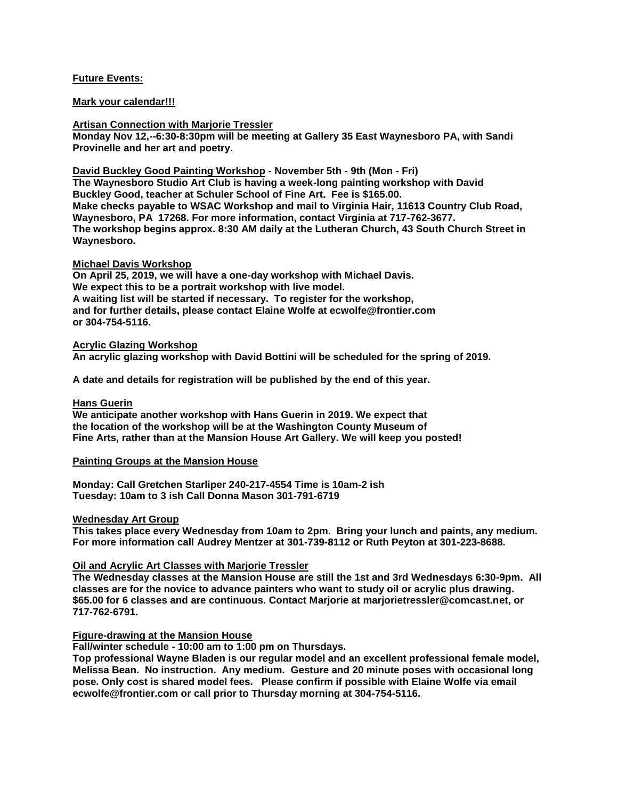#### **Future Events:**

#### **Mark your calendar!!!**

**Artisan Connection with Marjorie Tressler**

**Monday Nov 12,--6:30-8:30pm will be meeting at Gallery 35 East Waynesboro PA, with Sandi Provinelle and her art and poetry.**

**David Buckley Good Painting Workshop - November 5th - 9th (Mon - Fri) The Waynesboro Studio Art Club is having a week-long painting workshop with David Buckley Good, teacher at Schuler School of Fine Art. Fee is \$165.00. Make checks payable to WSAC Workshop and mail to Virginia Hair, 11613 Country Club Road, Waynesboro, PA 17268. For more information, contact Virginia at 717-762-3677. The workshop begins approx. 8:30 AM daily at the Lutheran Church, 43 South Church Street in Waynesboro.**

#### **Michael Davis Workshop**

**On April 25, 2019, we will have a one-day workshop with Michael Davis. We expect this to be a portrait workshop with live model. A waiting list will be started if necessary. To register for the workshop, and for further details, please contact Elaine Wolfe at ecwolfe@frontier.com or 304-754-5116.**

#### **Acrylic Glazing Workshop**

**An acrylic glazing workshop with David Bottini will be scheduled for the spring of 2019.** 

**A date and details for registration will be published by the end of this year.**

#### **Hans Guerin**

**We anticipate another workshop with Hans Guerin in 2019. We expect that the location of the workshop will be at the Washington County Museum of Fine Arts, rather than at the Mansion House Art Gallery. We will keep you posted!**

#### **Painting Groups at the Mansion House**

**Monday: Call Gretchen Starliper 240-217-4554 Time is 10am-2 ish Tuesday: 10am to 3 ish Call Donna Mason 301-791-6719**

#### **Wednesday Art Group**

**This takes place every Wednesday from 10am to 2pm. Bring your lunch and paints, any medium. For more information call Audrey Mentzer at 301-739-8112 or Ruth Peyton at 301-223-8688.**

#### **Oil and Acrylic Art Classes with Marjorie Tressler**

**The Wednesday classes at the Mansion House are still the 1st and 3rd Wednesdays 6:30-9pm. All classes are for the novice to advance painters who want to study oil or acrylic plus drawing. \$65.00 for 6 classes and are continuous. Contact Marjorie at marjorietressler@comcast.net, or 717-762-6791.**

#### **Figure-drawing at the Mansion House**

**Fall/winter schedule - 10:00 am to 1:00 pm on Thursdays.**

**Top professional Wayne Bladen is our regular model and an excellent professional female model, Melissa Bean. No instruction. Any medium. Gesture and 20 minute poses with occasional long pose. Only cost is shared model fees. Please confirm if possible with Elaine Wolfe via email ecwolfe@frontier.com or call prior to Thursday morning at 304-754-5116.**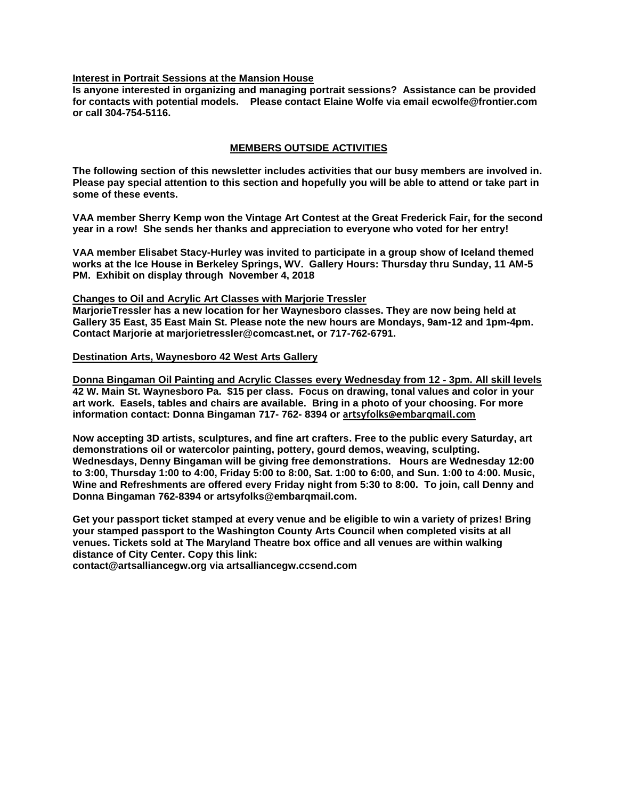#### **Interest in Portrait Sessions at the Mansion House**

**Is anyone interested in organizing and managing portrait sessions? Assistance can be provided for contacts with potential models. Please contact Elaine Wolfe via email ecwolfe@frontier.com or call 304-754-5116.**

#### **MEMBERS OUTSIDE ACTIVITIES**

**The following section of this newsletter includes activities that our busy members are involved in. Please pay special attention to this section and hopefully you will be able to attend or take part in some of these events.**

**VAA member Sherry Kemp won the Vintage Art Contest at the Great Frederick Fair, for the second year in a row! She sends her thanks and appreciation to everyone who voted for her entry!**

**VAA member Elisabet Stacy-Hurley was invited to participate in a group show of Iceland themed works at the Ice House in Berkeley Springs, WV. Gallery Hours: Thursday thru Sunday, 11 AM-5 PM. Exhibit on display through November 4, 2018**

#### **Changes to Oil and Acrylic Art Classes with Marjorie Tressler**

**MarjorieTressler has a new location for her Waynesboro classes. They are now being held at Gallery 35 East, 35 East Main St. Please note the new hours are Mondays, 9am-12 and 1pm-4pm. Contact Marjorie at marjorietressler@comcast.net, or 717-762-6791.**

#### **Destination Arts, Waynesboro 42 West Arts Gallery**

**Donna Bingaman Oil Painting and Acrylic Classes every Wednesday from 12 - 3pm. All skill levels 42 W. Main St. Waynesboro Pa. \$15 per class. Focus on drawing, tonal values and color in your art work. Easels, tables and chairs are available. Bring in a photo of your choosing. For more information contact: Donna Bingaman 717- 762- 8394 or artsyfolks@embarqmail.com**

**Now accepting 3D artists, sculptures, and fine art crafters. Free to the public every Saturday, art demonstrations oil or watercolor painting, pottery, gourd demos, weaving, sculpting. Wednesdays, Denny Bingaman will be giving free demonstrations. Hours are Wednesday 12:00 to 3:00, Thursday 1:00 to 4:00, Friday 5:00 to 8:00, Sat. 1:00 to 6:00, and Sun. 1:00 to 4:00. Music, Wine and Refreshments are offered every Friday night from 5:30 to 8:00. To join, call Denny and Donna Bingaman 762-8394 or artsyfolks@embarqmail.com.** 

**Get your passport ticket stamped at every venue and be eligible to win a variety of prizes! Bring your stamped passport to the Washington County Arts Council when completed visits at all venues. Tickets sold at The Maryland Theatre box office and all venues are within walking distance of City Center. Copy this link:**

**contact@artsalliancegw.org via artsalliancegw.ccsend.com**